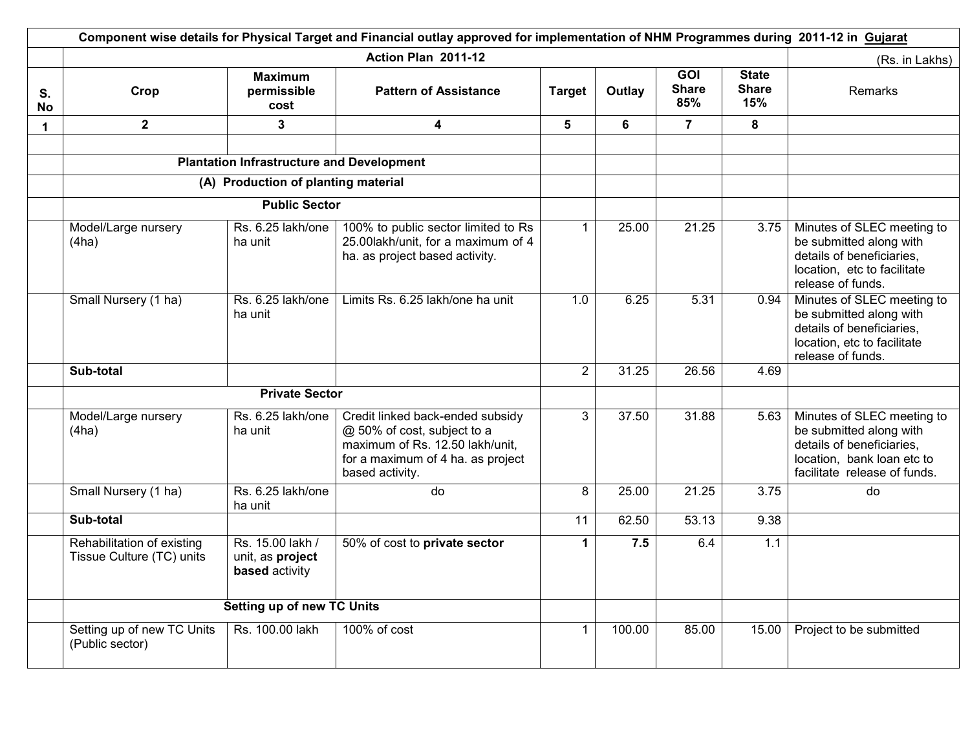|                 | Component wise details for Physical Target and Financial outlay approved for implementation of NHM Programmes during 2011-12 in Gujarat |                                                        |                                                                                                                                                            |                |        |                                   |                                     |                                                                                                                                                  |
|-----------------|-----------------------------------------------------------------------------------------------------------------------------------------|--------------------------------------------------------|------------------------------------------------------------------------------------------------------------------------------------------------------------|----------------|--------|-----------------------------------|-------------------------------------|--------------------------------------------------------------------------------------------------------------------------------------------------|
|                 |                                                                                                                                         |                                                        | Action Plan 2011-12                                                                                                                                        |                |        |                                   |                                     | (Rs. in Lakhs)                                                                                                                                   |
| S.<br><b>No</b> | Crop                                                                                                                                    | <b>Maximum</b><br>permissible<br>cost                  | <b>Pattern of Assistance</b>                                                                                                                               | <b>Target</b>  | Outlay | <b>GOI</b><br><b>Share</b><br>85% | <b>State</b><br><b>Share</b><br>15% | <b>Remarks</b>                                                                                                                                   |
| $\mathbf 1$     | 2 <sup>1</sup>                                                                                                                          | $\overline{\mathbf{3}}$                                | 4                                                                                                                                                          | $5\phantom{1}$ | 6      | $\overline{7}$                    | 8                                   |                                                                                                                                                  |
|                 |                                                                                                                                         |                                                        |                                                                                                                                                            |                |        |                                   |                                     |                                                                                                                                                  |
|                 |                                                                                                                                         | <b>Plantation Infrastructure and Development</b>       |                                                                                                                                                            |                |        |                                   |                                     |                                                                                                                                                  |
|                 | (A) Production of planting material                                                                                                     |                                                        |                                                                                                                                                            |                |        |                                   |                                     |                                                                                                                                                  |
|                 |                                                                                                                                         | <b>Public Sector</b>                                   |                                                                                                                                                            |                |        |                                   |                                     |                                                                                                                                                  |
|                 | Model/Large nursery<br>(4ha)                                                                                                            | Rs. 6.25 lakh/one<br>ha unit                           | 100% to public sector limited to Rs<br>25.00lakh/unit, for a maximum of 4<br>ha. as project based activity.                                                | $\mathbf{1}$   | 25.00  | 21.25                             | 3.75                                | Minutes of SLEC meeting to<br>be submitted along with<br>details of beneficiaries,<br>location, etc to facilitate<br>release of funds.           |
|                 | Small Nursery (1 ha)                                                                                                                    | Rs. 6.25 lakh/one<br>ha unit                           | Limits Rs. 6.25 lakh/one ha unit                                                                                                                           | 1.0            | 6.25   | 5.31                              | 0.94                                | Minutes of SLEC meeting to<br>be submitted along with<br>details of beneficiaries,<br>location, etc to facilitate<br>release of funds.           |
|                 | Sub-total                                                                                                                               |                                                        |                                                                                                                                                            | $\overline{2}$ | 31.25  | 26.56                             | 4.69                                |                                                                                                                                                  |
|                 |                                                                                                                                         | <b>Private Sector</b>                                  |                                                                                                                                                            |                |        |                                   |                                     |                                                                                                                                                  |
|                 | Model/Large nursery<br>(4ha)                                                                                                            | Rs. 6.25 lakh/one<br>ha unit                           | Credit linked back-ended subsidy<br>@ 50% of cost, subject to a<br>maximum of Rs. 12.50 lakh/unit,<br>for a maximum of 4 ha. as project<br>based activity. | $\overline{3}$ | 37.50  | 31.88                             | 5.63                                | Minutes of SLEC meeting to<br>be submitted along with<br>details of beneficiaries,<br>location, bank loan etc to<br>facilitate release of funds. |
|                 | Small Nursery (1 ha)                                                                                                                    | Rs. 6.25 lakh/one<br>ha unit                           | do                                                                                                                                                         | 8              | 25.00  | 21.25                             | 3.75                                | do                                                                                                                                               |
|                 | Sub-total                                                                                                                               |                                                        |                                                                                                                                                            | 11             | 62.50  | 53.13                             | 9.38                                |                                                                                                                                                  |
|                 | Rehabilitation of existing<br>Tissue Culture (TC) units                                                                                 | Rs. 15.00 lakh /<br>unit, as project<br>based activity | 50% of cost to private sector                                                                                                                              | 1              | 7.5    | 6.4                               | 1.1                                 |                                                                                                                                                  |
|                 |                                                                                                                                         | <b>Setting up of new TC Units</b>                      |                                                                                                                                                            |                |        |                                   |                                     |                                                                                                                                                  |
|                 | Setting up of new TC Units<br>(Public sector)                                                                                           | Rs. 100.00 lakh                                        | 100% of cost                                                                                                                                               | $\mathbf{1}$   | 100.00 | 85.00                             | 15.00                               | Project to be submitted                                                                                                                          |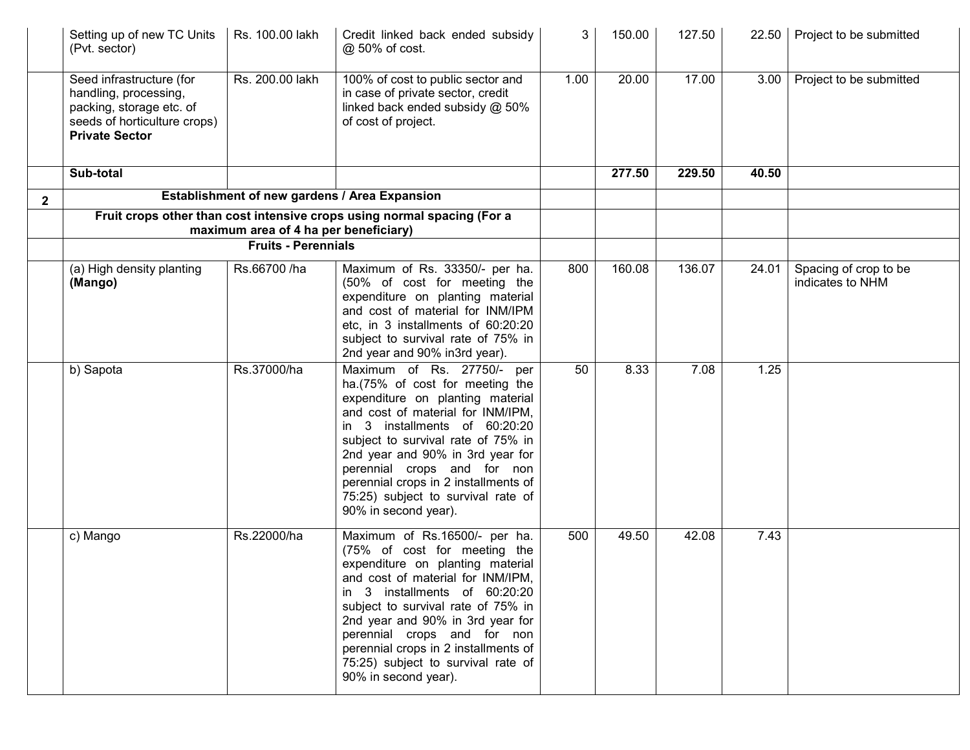|              | Setting up of new TC Units<br>(Pvt. sector)                                                                                            | Rs. 100.00 lakh                       | Credit linked back ended subsidy<br>@ 50% of cost.                                                                                                                                                                                                                                                                                                                                     | 3    | 150.00 | 127.50 | 22.50 | Project to be submitted                   |
|--------------|----------------------------------------------------------------------------------------------------------------------------------------|---------------------------------------|----------------------------------------------------------------------------------------------------------------------------------------------------------------------------------------------------------------------------------------------------------------------------------------------------------------------------------------------------------------------------------------|------|--------|--------|-------|-------------------------------------------|
|              | Seed infrastructure (for<br>handling, processing,<br>packing, storage etc. of<br>seeds of horticulture crops)<br><b>Private Sector</b> | Rs. 200.00 lakh                       | 100% of cost to public sector and<br>in case of private sector, credit<br>linked back ended subsidy @ 50%<br>of cost of project.                                                                                                                                                                                                                                                       | 1.00 | 20.00  | 17.00  | 3.00  | Project to be submitted                   |
|              | Sub-total                                                                                                                              |                                       |                                                                                                                                                                                                                                                                                                                                                                                        |      | 277.50 | 229.50 | 40.50 |                                           |
| $\mathbf{2}$ |                                                                                                                                        |                                       | Establishment of new gardens / Area Expansion                                                                                                                                                                                                                                                                                                                                          |      |        |        |       |                                           |
|              |                                                                                                                                        | maximum area of 4 ha per beneficiary) | Fruit crops other than cost intensive crops using normal spacing (For a                                                                                                                                                                                                                                                                                                                |      |        |        |       |                                           |
|              |                                                                                                                                        | <b>Fruits - Perennials</b>            |                                                                                                                                                                                                                                                                                                                                                                                        |      |        |        |       |                                           |
|              | (a) High density planting<br>(Mango)                                                                                                   | Rs.66700 /ha                          | Maximum of Rs. 33350/- per ha.<br>(50% of cost for meeting the<br>expenditure on planting material<br>and cost of material for INM/IPM<br>etc. in 3 installments of 60:20:20<br>subject to survival rate of 75% in<br>2nd year and 90% in3rd year).                                                                                                                                    | 800  | 160.08 | 136.07 | 24.01 | Spacing of crop to be<br>indicates to NHM |
|              | b) Sapota                                                                                                                              | Rs.37000/ha                           | Maximum of Rs. 27750/- per<br>ha.(75% of cost for meeting the<br>expenditure on planting material<br>and cost of material for INM/IPM,<br>in 3 installments of 60:20:20<br>subject to survival rate of 75% in<br>2nd year and 90% in 3rd year for<br>perennial crops and for non<br>perennial crops in 2 installments of<br>75:25) subject to survival rate of<br>90% in second year). | 50   | 8.33   | 7.08   | 1.25  |                                           |
|              | c) Mango                                                                                                                               | Rs.22000/ha                           | Maximum of Rs.16500/- per ha.<br>(75% of cost for meeting the<br>expenditure on planting material<br>and cost of material for INM/IPM,<br>in 3 installments of 60:20:20<br>subject to survival rate of 75% in<br>2nd year and 90% in 3rd year for<br>perennial crops and for non<br>perennial crops in 2 installments of<br>75:25) subject to survival rate of<br>90% in second year). | 500  | 49.50  | 42.08  | 7.43  |                                           |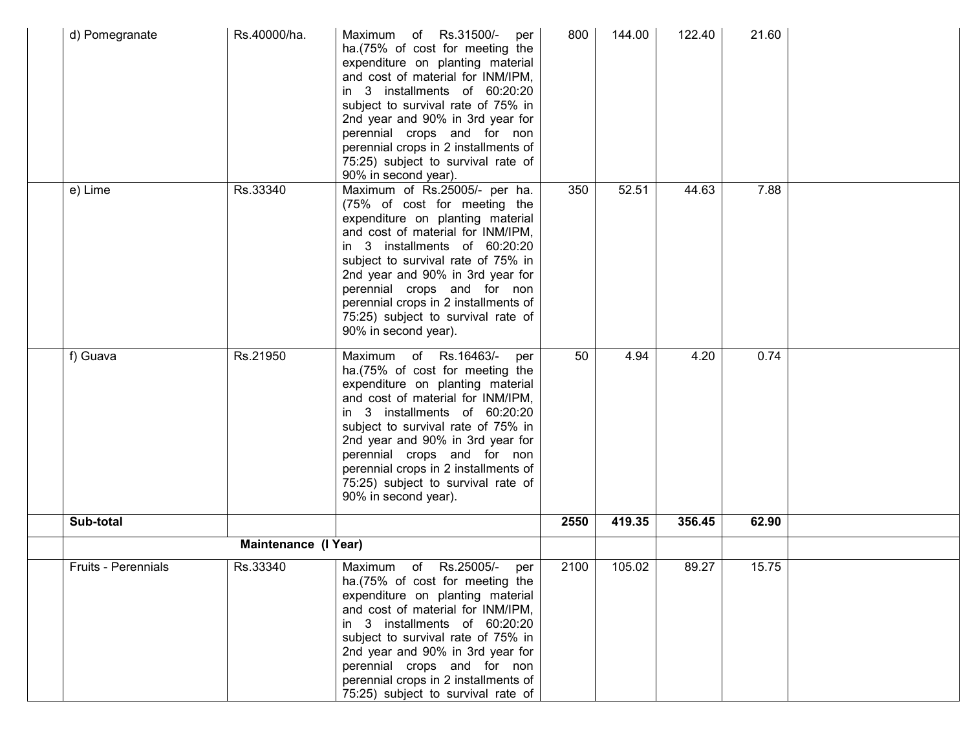| d) Pomegranate      | Rs.40000/ha.         | Maximum of Rs.31500/-<br>per<br>ha.(75% of cost for meeting the<br>expenditure on planting material<br>and cost of material for INM/IPM,<br>in 3 installments of 60:20:20<br>subject to survival rate of 75% in<br>2nd year and 90% in 3rd year for<br>perennial crops and for non<br>perennial crops in 2 installments of<br>75:25) subject to survival rate of<br>90% in second year). | 800  | 144.00 | 122.40 | 21.60 |  |
|---------------------|----------------------|------------------------------------------------------------------------------------------------------------------------------------------------------------------------------------------------------------------------------------------------------------------------------------------------------------------------------------------------------------------------------------------|------|--------|--------|-------|--|
| e) Lime             | Rs.33340             | Maximum of Rs.25005/- per ha.<br>(75% of cost for meeting the<br>expenditure on planting material<br>and cost of material for INM/IPM,<br>in 3 installments of 60:20:20<br>subject to survival rate of 75% in<br>2nd year and 90% in 3rd year for<br>perennial crops and for non<br>perennial crops in 2 installments of<br>75:25) subject to survival rate of<br>90% in second year).   | 350  | 52.51  | 44.63  | 7.88  |  |
| f) Guava            | Rs.21950             | Maximum of Rs.16463/-<br>per<br>ha.(75% of cost for meeting the<br>expenditure on planting material<br>and cost of material for INM/IPM,<br>in 3 installments of 60:20:20<br>subject to survival rate of 75% in<br>2nd year and 90% in 3rd year for<br>perennial crops and for non<br>perennial crops in 2 installments of<br>75:25) subject to survival rate of<br>90% in second year). | 50   | 4.94   | 4.20   | 0.74  |  |
| Sub-total           |                      |                                                                                                                                                                                                                                                                                                                                                                                          | 2550 | 419.35 | 356.45 | 62.90 |  |
|                     | Maintenance (I Year) |                                                                                                                                                                                                                                                                                                                                                                                          |      |        |        |       |  |
| Fruits - Perennials | Rs.33340             | Rs.25005/-<br>Maximum<br>of<br>per<br>ha.(75% of cost for meeting the<br>expenditure on planting material<br>and cost of material for INM/IPM,<br>in 3 installments of 60:20:20<br>subject to survival rate of 75% in<br>2nd year and 90% in 3rd year for<br>perennial crops and for non<br>perennial crops in 2 installments of<br>75:25) subject to survival rate of                   | 2100 | 105.02 | 89.27  | 15.75 |  |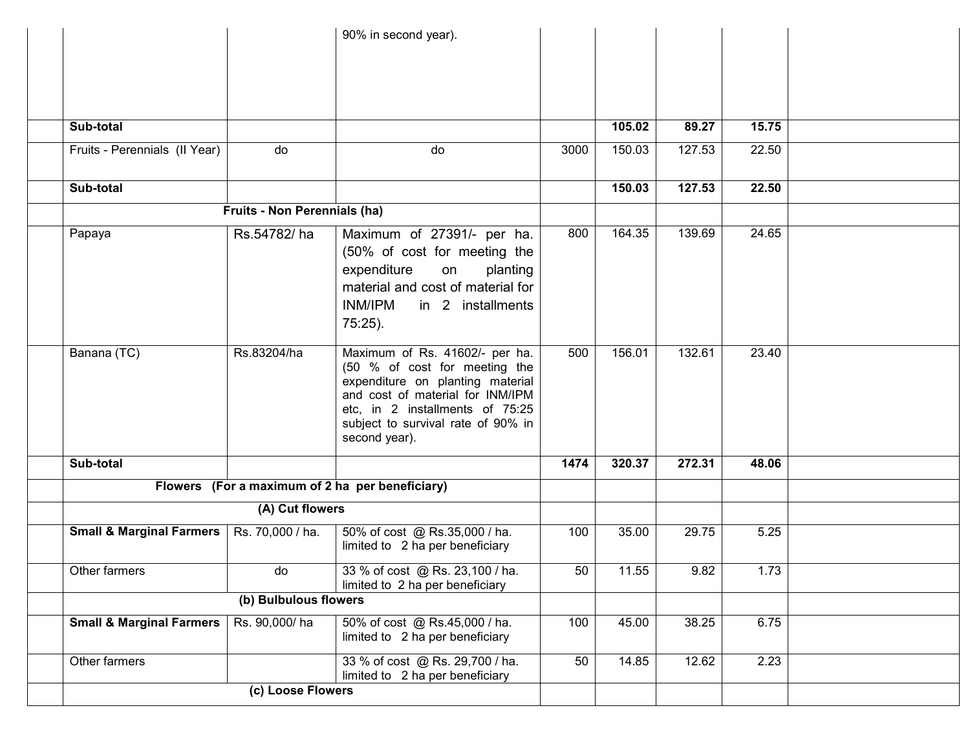|                                     |                              | 90% in second year).                                                                                                                                                                                                              |      |        |        |       |  |
|-------------------------------------|------------------------------|-----------------------------------------------------------------------------------------------------------------------------------------------------------------------------------------------------------------------------------|------|--------|--------|-------|--|
| Sub-total                           |                              |                                                                                                                                                                                                                                   |      | 105.02 | 89.27  | 15.75 |  |
| Fruits - Perennials (II Year)       | do                           | do                                                                                                                                                                                                                                | 3000 | 150.03 | 127.53 | 22.50 |  |
| Sub-total                           |                              |                                                                                                                                                                                                                                   |      | 150.03 | 127.53 | 22.50 |  |
|                                     | Fruits - Non Perennials (ha) |                                                                                                                                                                                                                                   |      |        |        |       |  |
| Papaya                              | Rs.54782/ha                  | Maximum of 27391/- per ha.<br>(50% of cost for meeting the<br>expenditure<br>planting<br>on<br>material and cost of material for<br><b>INM/IPM</b><br>in 2 installments<br>$75:25$ ).                                             | 800  | 164.35 | 139.69 | 24.65 |  |
| Banana (TC)                         | Rs.83204/ha                  | Maximum of Rs. 41602/- per ha.<br>(50 % of cost for meeting the<br>expenditure on planting material<br>and cost of material for INM/IPM<br>etc, in 2 installments of 75:25<br>subject to survival rate of 90% in<br>second year). | 500  | 156.01 | 132.61 | 23.40 |  |
| Sub-total                           |                              |                                                                                                                                                                                                                                   | 1474 | 320.37 | 272.31 | 48.06 |  |
|                                     |                              | Flowers (For a maximum of 2 ha per beneficiary)                                                                                                                                                                                   |      |        |        |       |  |
|                                     | (A) Cut flowers              |                                                                                                                                                                                                                                   |      |        |        |       |  |
| <b>Small &amp; Marginal Farmers</b> | Rs. 70,000 / ha.             | 50% of cost @ Rs.35,000 / ha.<br>limited to 2 ha per beneficiary                                                                                                                                                                  | 100  | 35.00  | 29.75  | 5.25  |  |
| Other farmers                       | do                           | 33 % of cost @ Rs. 23,100 / ha.<br>limited to 2 ha per beneficiary                                                                                                                                                                | 50   | 11.55  | 9.82   | 1.73  |  |
|                                     | (b) Bulbulous flowers        |                                                                                                                                                                                                                                   |      |        |        |       |  |
| <b>Small &amp; Marginal Farmers</b> | Rs. 90,000/ha                | 50% of cost @ Rs.45,000 / ha.<br>limited to 2 ha per beneficiary                                                                                                                                                                  | 100  | 45.00  | 38.25  | 6.75  |  |
| Other farmers                       |                              | 33 % of cost @ Rs. 29,700 / ha.<br>limited to 2 ha per beneficiary                                                                                                                                                                | 50   | 14.85  | 12.62  | 2.23  |  |
|                                     | (c) Loose Flowers            |                                                                                                                                                                                                                                   |      |        |        |       |  |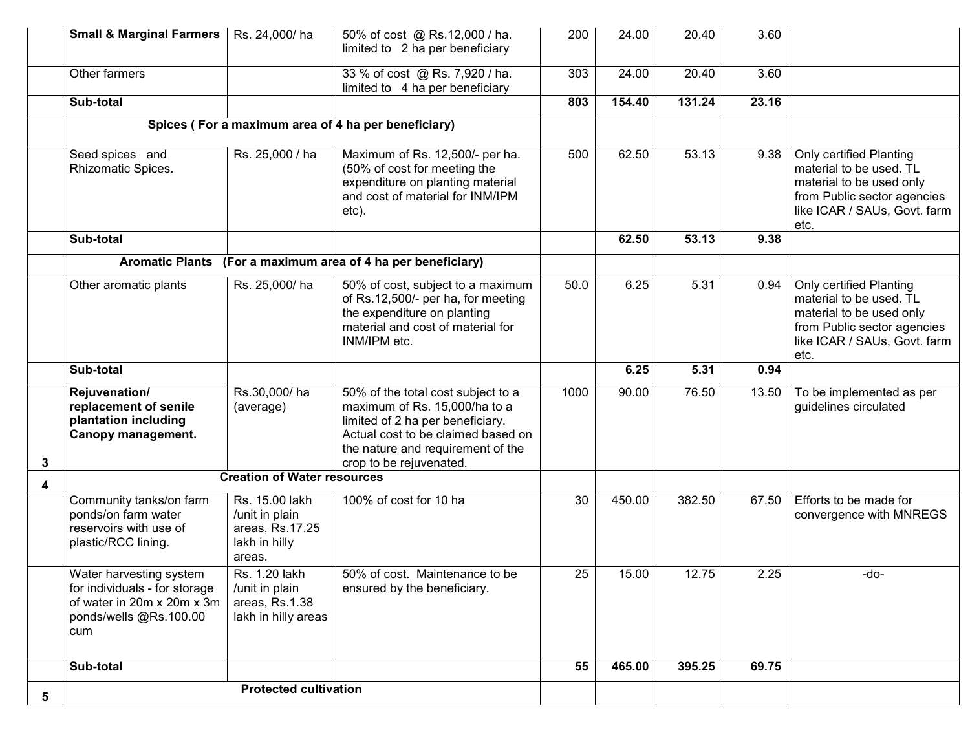|   | <b>Small &amp; Marginal Farmers</b>                                                                                     | Rs. 24,000/ha                                                                  | 50% of cost @ Rs.12,000 / ha.<br>limited to 2 ha per beneficiary                                                                                                                                              | 200             | 24.00  | 20.40  | 3.60  |                                                                                                                                                       |
|---|-------------------------------------------------------------------------------------------------------------------------|--------------------------------------------------------------------------------|---------------------------------------------------------------------------------------------------------------------------------------------------------------------------------------------------------------|-----------------|--------|--------|-------|-------------------------------------------------------------------------------------------------------------------------------------------------------|
|   | Other farmers                                                                                                           |                                                                                | 33 % of cost @ Rs. 7,920 / ha.<br>limited to 4 ha per beneficiary                                                                                                                                             | 303             | 24.00  | 20.40  | 3.60  |                                                                                                                                                       |
|   | Sub-total                                                                                                               |                                                                                |                                                                                                                                                                                                               | 803             | 154.40 | 131.24 | 23.16 |                                                                                                                                                       |
|   |                                                                                                                         |                                                                                | Spices (For a maximum area of 4 ha per beneficiary)                                                                                                                                                           |                 |        |        |       |                                                                                                                                                       |
|   | Seed spices and<br>Rhizomatic Spices.                                                                                   | Rs. 25,000 / ha                                                                | Maximum of Rs. 12,500/- per ha.<br>(50% of cost for meeting the<br>expenditure on planting material<br>and cost of material for INM/IPM<br>etc).                                                              | 500             | 62.50  | 53.13  | 9.38  | Only certified Planting<br>material to be used. TL<br>material to be used only<br>from Public sector agencies<br>like ICAR / SAUs, Govt. farm<br>etc. |
|   | Sub-total                                                                                                               |                                                                                |                                                                                                                                                                                                               |                 | 62.50  | 53.13  | 9.38  |                                                                                                                                                       |
|   | <b>Aromatic Plants</b>                                                                                                  |                                                                                | (For a maximum area of 4 ha per beneficiary)                                                                                                                                                                  |                 |        |        |       |                                                                                                                                                       |
|   | Other aromatic plants                                                                                                   | Rs. 25,000/ha                                                                  | 50% of cost, subject to a maximum<br>of Rs.12,500/- per ha, for meeting<br>the expenditure on planting<br>material and cost of material for<br>INM/IPM etc.                                                   | 50.0            | 6.25   | 5.31   | 0.94  | Only certified Planting<br>material to be used. TL<br>material to be used only<br>from Public sector agencies<br>like ICAR / SAUs, Govt. farm<br>etc. |
|   | Sub-total                                                                                                               |                                                                                |                                                                                                                                                                                                               |                 | 6.25   | 5.31   | 0.94  |                                                                                                                                                       |
| 3 | Rejuvenation/<br>replacement of senile<br>plantation including<br>Canopy management.                                    | Rs.30,000/ha<br>(average)                                                      | 50% of the total cost subject to a<br>maximum of Rs. 15,000/ha to a<br>limited of 2 ha per beneficiary.<br>Actual cost to be claimed based on<br>the nature and requirement of the<br>crop to be rejuvenated. | 1000            | 90.00  | 76.50  | 13.50 | To be implemented as per<br>guidelines circulated                                                                                                     |
| 4 |                                                                                                                         | <b>Creation of Water resources</b>                                             |                                                                                                                                                                                                               |                 |        |        |       |                                                                                                                                                       |
|   | Community tanks/on farm<br>ponds/on farm water<br>reservoirs with use of<br>plastic/RCC lining.                         | Rs. 15.00 lakh<br>/unit in plain<br>areas, Rs.17.25<br>lakh in hilly<br>areas. | 100% of cost for 10 ha                                                                                                                                                                                        | 30              | 450.00 | 382.50 | 67.50 | Efforts to be made for<br>convergence with MNREGS                                                                                                     |
|   | Water harvesting system<br>for individuals - for storage<br>of water in 20m x 20m x 3m<br>ponds/wells @Rs.100.00<br>cum | Rs. 1.20 lakh<br>/unit in plain<br>areas, Rs.1.38<br>lakh in hilly areas       | 50% of cost. Maintenance to be<br>ensured by the beneficiary.                                                                                                                                                 | $\overline{25}$ | 15.00  | 12.75  | 2.25  | -do-                                                                                                                                                  |
|   | Sub-total                                                                                                               |                                                                                |                                                                                                                                                                                                               | 55              | 465.00 | 395.25 | 69.75 |                                                                                                                                                       |
| 5 |                                                                                                                         | <b>Protected cultivation</b>                                                   |                                                                                                                                                                                                               |                 |        |        |       |                                                                                                                                                       |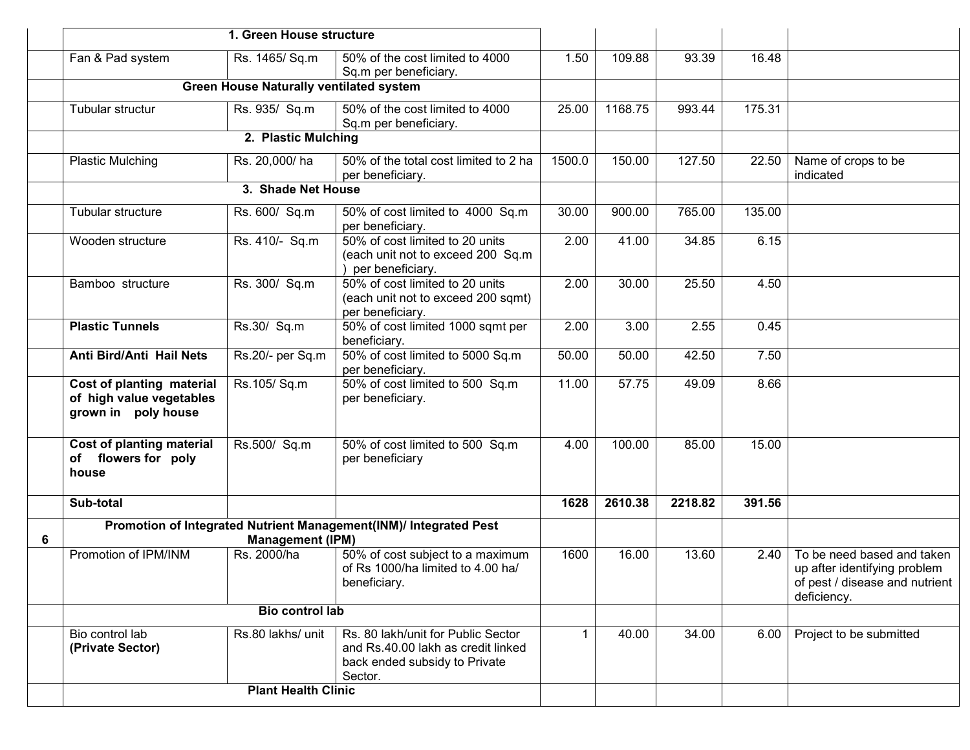|   |                                                                              | 1. Green House structure                       |                                                                                                                      |             |         |         |        |                                                                                                             |
|---|------------------------------------------------------------------------------|------------------------------------------------|----------------------------------------------------------------------------------------------------------------------|-------------|---------|---------|--------|-------------------------------------------------------------------------------------------------------------|
|   | Fan & Pad system                                                             | Rs. 1465/ Sq.m                                 | 50% of the cost limited to 4000<br>Sq.m per beneficiary.                                                             | 1.50        | 109.88  | 93.39   | 16.48  |                                                                                                             |
|   |                                                                              | <b>Green House Naturally ventilated system</b> |                                                                                                                      |             |         |         |        |                                                                                                             |
|   | Tubular structur                                                             | Rs. 935/ Sq.m                                  | 50% of the cost limited to 4000<br>Sq.m per beneficiary.                                                             | 25.00       | 1168.75 | 993.44  | 175.31 |                                                                                                             |
|   |                                                                              | 2. Plastic Mulching                            |                                                                                                                      |             |         |         |        |                                                                                                             |
|   | <b>Plastic Mulching</b>                                                      | Rs. 20,000/ha                                  | 50% of the total cost limited to 2 ha<br>per beneficiary.                                                            | 1500.0      | 150.00  | 127.50  | 22.50  | Name of crops to be<br>indicated                                                                            |
|   |                                                                              | 3. Shade Net House                             |                                                                                                                      |             |         |         |        |                                                                                                             |
|   | Tubular structure                                                            | Rs. 600/ Sq.m                                  | 50% of cost limited to 4000 Sq.m<br>per beneficiary.                                                                 | 30.00       | 900.00  | 765.00  | 135.00 |                                                                                                             |
|   | Wooden structure                                                             | Rs. 410/- Sq.m                                 | 50% of cost limited to 20 units<br>(each unit not to exceed 200 Sq.m<br>per beneficiary.                             | 2.00        | 41.00   | 34.85   | 6.15   |                                                                                                             |
|   | Bamboo structure                                                             | Rs. 300/ Sq.m                                  | 50% of cost limited to 20 units<br>(each unit not to exceed 200 sqmt)<br>per beneficiary.                            | 2.00        | 30.00   | 25.50   | 4.50   |                                                                                                             |
|   | <b>Plastic Tunnels</b>                                                       | Rs.30/ Sq.m                                    | 50% of cost limited 1000 sqmt per<br>beneficiary.                                                                    | 2.00        | 3.00    | 2.55    | 0.45   |                                                                                                             |
|   | Anti Bird/Anti Hail Nets                                                     | Rs.20/- per Sq.m                               | 50% of cost limited to 5000 Sq.m<br>per beneficiary.                                                                 | 50.00       | 50.00   | 42.50   | 7.50   |                                                                                                             |
|   | Cost of planting material<br>of high value vegetables<br>grown in poly house | Rs.105/Sq.m                                    | 50% of cost limited to 500 Sq.m<br>per beneficiary.                                                                  | 11.00       | 57.75   | 49.09   | 8.66   |                                                                                                             |
|   | <b>Cost of planting material</b><br>of flowers for poly<br>house             | Rs.500/ Sq.m                                   | 50% of cost limited to 500 Sq.m<br>per beneficiary                                                                   | 4.00        | 100.00  | 85.00   | 15.00  |                                                                                                             |
|   | Sub-total                                                                    |                                                |                                                                                                                      | 1628        | 2610.38 | 2218.82 | 391.56 |                                                                                                             |
| 6 |                                                                              | <b>Management (IPM)</b>                        | Promotion of Integrated Nutrient Management(INM)/ Integrated Pest                                                    |             |         |         |        |                                                                                                             |
|   | Promotion of IPM/INM                                                         | Rs. 2000/ha                                    | 50% of cost subject to a maximum<br>of Rs 1000/ha limited to 4.00 ha/<br>beneficiary.                                | 1600        | 16.00   | 13.60   | 2.40   | To be need based and taken<br>up after identifying problem<br>of pest / disease and nutrient<br>deficiency. |
|   |                                                                              |                                                |                                                                                                                      |             |         |         |        |                                                                                                             |
|   | Bio control lab<br>(Private Sector)                                          | Rs.80 lakhs/ unit                              | Rs. 80 lakh/unit for Public Sector<br>and Rs.40.00 lakh as credit linked<br>back ended subsidy to Private<br>Sector. | $\mathbf 1$ | 40.00   | 34.00   | 6.00   | Project to be submitted                                                                                     |
|   | <b>Plant Health Clinic</b>                                                   |                                                |                                                                                                                      |             |         |         |        |                                                                                                             |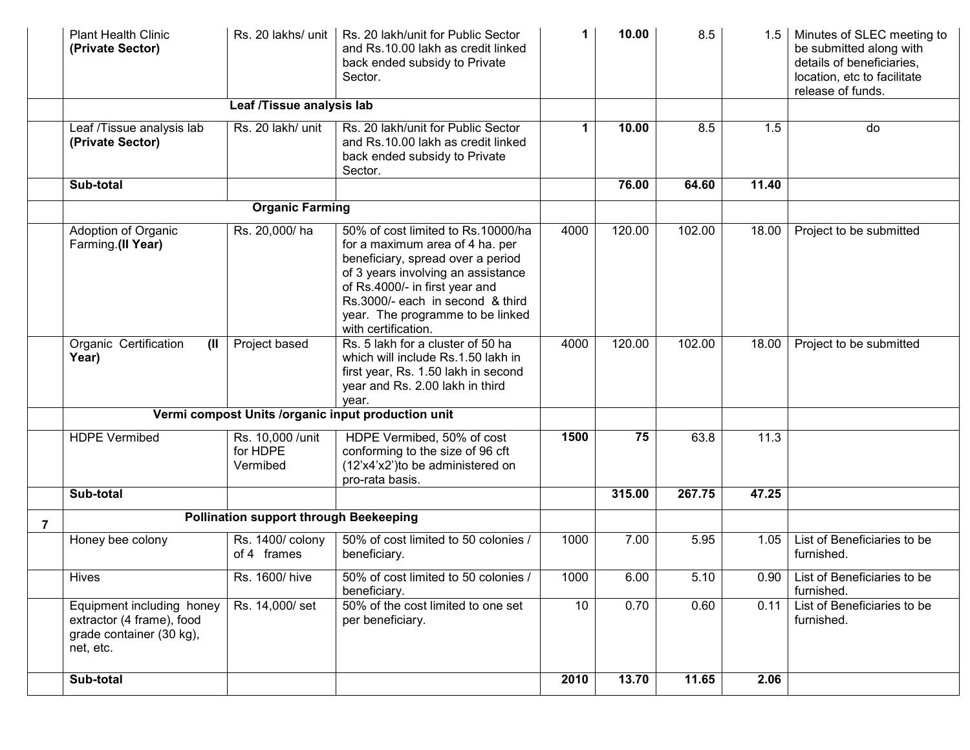|   | <b>Plant Health Clinic</b><br>(Private Sector)                                                  |                                               | Rs. 20 lakhs/ unit   Rs. 20 lakh/unit for Public Sector<br>and Rs.10.00 lakh as credit linked<br>back ended subsidy to Private<br>Sector.                                                                                                                                         | 1           | 10.00  | 8.5    |       | Minutes of SLEC meeting to<br>be submitted along with<br>details of beneficiaries,<br>location, etc to facilitate<br>release of funds. |
|---|-------------------------------------------------------------------------------------------------|-----------------------------------------------|-----------------------------------------------------------------------------------------------------------------------------------------------------------------------------------------------------------------------------------------------------------------------------------|-------------|--------|--------|-------|----------------------------------------------------------------------------------------------------------------------------------------|
|   |                                                                                                 | Leaf /Tissue analysis lab                     |                                                                                                                                                                                                                                                                                   |             |        |        |       |                                                                                                                                        |
|   | Leaf /Tissue analysis lab<br>(Private Sector)                                                   | Rs. 20 lakh/ unit                             | Rs. 20 lakh/unit for Public Sector<br>and Rs.10.00 lakh as credit linked<br>back ended subsidy to Private<br>Sector.                                                                                                                                                              | $\mathbf 1$ | 10.00  | 8.5    | 1.5   | do                                                                                                                                     |
|   | Sub-total                                                                                       |                                               |                                                                                                                                                                                                                                                                                   |             | 76.00  | 64.60  | 11.40 |                                                                                                                                        |
|   |                                                                                                 | <b>Organic Farming</b>                        |                                                                                                                                                                                                                                                                                   |             |        |        |       |                                                                                                                                        |
|   | Adoption of Organic<br>Farming.(II Year)                                                        | Rs. 20,000/ha                                 | 50% of cost limited to Rs.10000/ha<br>for a maximum area of 4 ha. per<br>beneficiary, spread over a period<br>of 3 years involving an assistance<br>of Rs.4000/- in first year and<br>Rs.3000/- each in second & third<br>year. The programme to be linked<br>with certification. | 4000        | 120.00 | 102.00 | 18.00 | Project to be submitted                                                                                                                |
|   | Organic Certification<br>(II)<br>Year)                                                          | Project based                                 | Rs. 5 lakh for a cluster of 50 ha<br>which will include Rs.1.50 lakh in<br>first year, Rs. 1.50 lakh in second<br>year and Rs. 2.00 lakh in third<br>year.                                                                                                                        | 4000        | 120.00 | 102.00 | 18.00 | Project to be submitted                                                                                                                |
|   |                                                                                                 |                                               | Vermi compost Units /organic input production unit                                                                                                                                                                                                                                |             |        |        |       |                                                                                                                                        |
|   | <b>HDPE Vermibed</b>                                                                            | Rs. 10,000 /unit<br>for HDPE<br>Vermibed      | HDPE Vermibed, 50% of cost<br>conforming to the size of 96 cft<br>(12'x4'x2')to be administered on<br>pro-rata basis.                                                                                                                                                             | 1500        | 75     | 63.8   | 11.3  |                                                                                                                                        |
|   | Sub-total                                                                                       |                                               |                                                                                                                                                                                                                                                                                   |             | 315.00 | 267.75 | 47.25 |                                                                                                                                        |
| 7 |                                                                                                 | <b>Pollination support through Beekeeping</b> |                                                                                                                                                                                                                                                                                   |             |        |        |       |                                                                                                                                        |
|   | Honey bee colony                                                                                | Rs. 1400/ colony<br>of 4 frames               | 50% of cost limited to 50 colonies /<br>beneficiary.                                                                                                                                                                                                                              | 1000        | 7.00   | 5.95   | 1.05  | List of Beneficiaries to be<br>furnished.                                                                                              |
|   | Hives                                                                                           | Rs. 1600/ hive                                | 50% of cost limited to 50 colonies /<br>beneficiary.                                                                                                                                                                                                                              | 1000        | 6.00   | 5.10   |       | 0.90 List of Beneficiaries to be<br>furnished.                                                                                         |
|   | Equipment including honey<br>extractor (4 frame), food<br>grade container (30 kg),<br>net, etc. | Rs. 14,000/ set                               | 50% of the cost limited to one set<br>per beneficiary.                                                                                                                                                                                                                            | 10          | 0.70   | 0.60   | 0.11  | List of Beneficiaries to be<br>furnished.                                                                                              |
|   | Sub-total                                                                                       |                                               |                                                                                                                                                                                                                                                                                   | 2010        | 13.70  | 11.65  | 2.06  |                                                                                                                                        |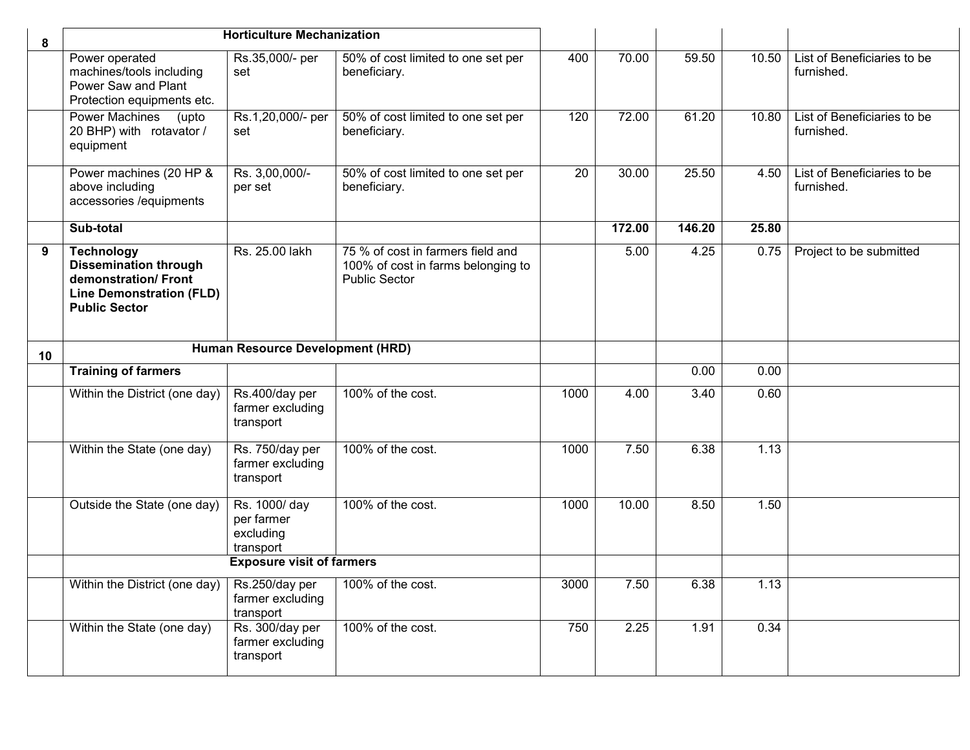| 8  |                                                                                                                                     | <b>Horticulture Mechanization</b>                    |                                                                                                 |      |        |        |       |                                           |
|----|-------------------------------------------------------------------------------------------------------------------------------------|------------------------------------------------------|-------------------------------------------------------------------------------------------------|------|--------|--------|-------|-------------------------------------------|
|    | Power operated<br>machines/tools including<br>Power Saw and Plant<br>Protection equipments etc.                                     | Rs.35,000/- per<br>set                               | 50% of cost limited to one set per<br>beneficiary.                                              | 400  | 70.00  | 59.50  | 10.50 | List of Beneficiaries to be<br>furnished. |
|    | <b>Power Machines</b><br>(upto<br>20 BHP) with rotavator /<br>equipment                                                             | Rs.1,20,000/- per<br>set                             | 50% of cost limited to one set per<br>beneficiary.                                              | 120  | 72.00  | 61.20  | 10.80 | List of Beneficiaries to be<br>furnished. |
|    | Power machines (20 HP &<br>above including<br>accessories /equipments                                                               | Rs. 3,00,000/-<br>per set                            | 50% of cost limited to one set per<br>beneficiary.                                              | 20   | 30.00  | 25.50  | 4.50  | List of Beneficiaries to be<br>furnished. |
|    | Sub-total                                                                                                                           |                                                      |                                                                                                 |      | 172.00 | 146.20 | 25.80 |                                           |
| 9  | <b>Technology</b><br><b>Dissemination through</b><br>demonstration/Front<br><b>Line Demonstration (FLD)</b><br><b>Public Sector</b> | Rs. 25.00 lakh                                       | 75 % of cost in farmers field and<br>100% of cost in farms belonging to<br><b>Public Sector</b> |      | 5.00   | 4.25   | 0.75  | Project to be submitted                   |
| 10 | Human Resource Development (HRD)                                                                                                    |                                                      |                                                                                                 |      |        |        |       |                                           |
|    | <b>Training of farmers</b>                                                                                                          |                                                      |                                                                                                 |      |        | 0.00   | 0.00  |                                           |
|    | Within the District (one day)                                                                                                       | Rs.400/day per<br>farmer excluding<br>transport      | 100% of the cost.                                                                               | 1000 | 4.00   | 3.40   | 0.60  |                                           |
|    | Within the State (one day)                                                                                                          | Rs. 750/day per<br>farmer excluding<br>transport     | 100% of the cost.                                                                               | 1000 | 7.50   | 6.38   | 1.13  |                                           |
|    | Outside the State (one day)                                                                                                         | Rs. 1000/day<br>per farmer<br>excluding<br>transport | 100% of the cost.                                                                               | 1000 | 10.00  | 8.50   | 1.50  |                                           |
|    | <b>Exposure visit of farmers</b>                                                                                                    |                                                      |                                                                                                 |      |        |        |       |                                           |
|    | Within the District (one day)                                                                                                       | Rs.250/day per<br>farmer excluding<br>transport      | 100% of the cost.                                                                               | 3000 | 7.50   | 6.38   | 1.13  |                                           |
|    | Within the State (one day)                                                                                                          | Rs. 300/day per<br>farmer excluding<br>transport     | 100% of the cost.                                                                               | 750  | 2.25   | 1.91   | 0.34  |                                           |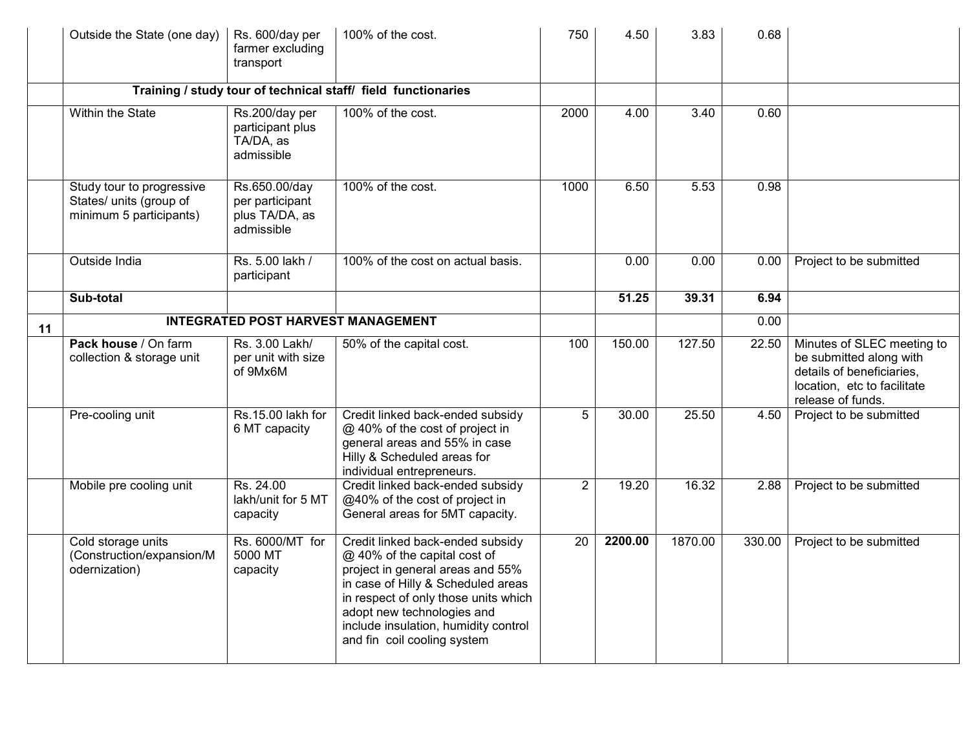|    | Outside the State (one day)                                                     | Rs. 600/day per<br>farmer excluding<br>transport                 | 100% of the cost.                                                                                                                                                                                                                                                                       | 750            | 4.50    | 3.83    | 0.68   |                                                                                                                                        |
|----|---------------------------------------------------------------------------------|------------------------------------------------------------------|-----------------------------------------------------------------------------------------------------------------------------------------------------------------------------------------------------------------------------------------------------------------------------------------|----------------|---------|---------|--------|----------------------------------------------------------------------------------------------------------------------------------------|
|    |                                                                                 |                                                                  | Training / study tour of technical staff/ field functionaries                                                                                                                                                                                                                           |                |         |         |        |                                                                                                                                        |
|    | Within the State                                                                | Rs.200/day per<br>participant plus<br>TA/DA, as<br>admissible    | 100% of the cost.                                                                                                                                                                                                                                                                       | 2000           | 4.00    | 3.40    | 0.60   |                                                                                                                                        |
|    | Study tour to progressive<br>States/ units (group of<br>minimum 5 participants) | Rs.650.00/day<br>per participant<br>plus TA/DA, as<br>admissible | 100% of the cost.                                                                                                                                                                                                                                                                       | 1000           | 6.50    | 5.53    | 0.98   |                                                                                                                                        |
|    | Outside India                                                                   | Rs. 5.00 lakh /<br>participant                                   | 100% of the cost on actual basis.                                                                                                                                                                                                                                                       |                | 0.00    | 0.00    | 0.00   | Project to be submitted                                                                                                                |
|    | Sub-total                                                                       |                                                                  |                                                                                                                                                                                                                                                                                         |                | 51.25   | 39.31   | 6.94   |                                                                                                                                        |
| 11 |                                                                                 | <b>INTEGRATED POST HARVEST MANAGEMENT</b>                        |                                                                                                                                                                                                                                                                                         |                |         |         | 0.00   |                                                                                                                                        |
|    | Pack house / On farm<br>collection & storage unit                               | Rs. 3.00 Lakh/<br>per unit with size<br>of 9Mx6M                 | 50% of the capital cost.                                                                                                                                                                                                                                                                | 100            | 150.00  | 127.50  | 22.50  | Minutes of SLEC meeting to<br>be submitted along with<br>details of beneficiaries,<br>location, etc to facilitate<br>release of funds. |
|    | Pre-cooling unit                                                                | Rs.15.00 lakh for<br>6 MT capacity                               | Credit linked back-ended subsidy<br>@ 40% of the cost of project in<br>general areas and 55% in case<br>Hilly & Scheduled areas for<br>individual entrepreneurs.                                                                                                                        | $\overline{5}$ | 30.00   | 25.50   | 4.50   | Project to be submitted                                                                                                                |
|    | Mobile pre cooling unit                                                         | Rs. 24.00<br>lakh/unit for 5 MT<br>capacity                      | Credit linked back-ended subsidy<br>@40% of the cost of project in<br>General areas for 5MT capacity.                                                                                                                                                                                   | $\overline{2}$ | 19.20   | 16.32   | 2.88   | Project to be submitted                                                                                                                |
|    | Cold storage units<br>(Construction/expansion/M<br>odernization)                | Rs. 6000/MT for<br>5000 MT<br>capacity                           | Credit linked back-ended subsidy<br>@ 40% of the capital cost of<br>project in general areas and 55%<br>in case of Hilly & Scheduled areas<br>in respect of only those units which<br>adopt new technologies and<br>include insulation, humidity control<br>and fin coil cooling system | 20             | 2200.00 | 1870.00 | 330.00 | Project to be submitted                                                                                                                |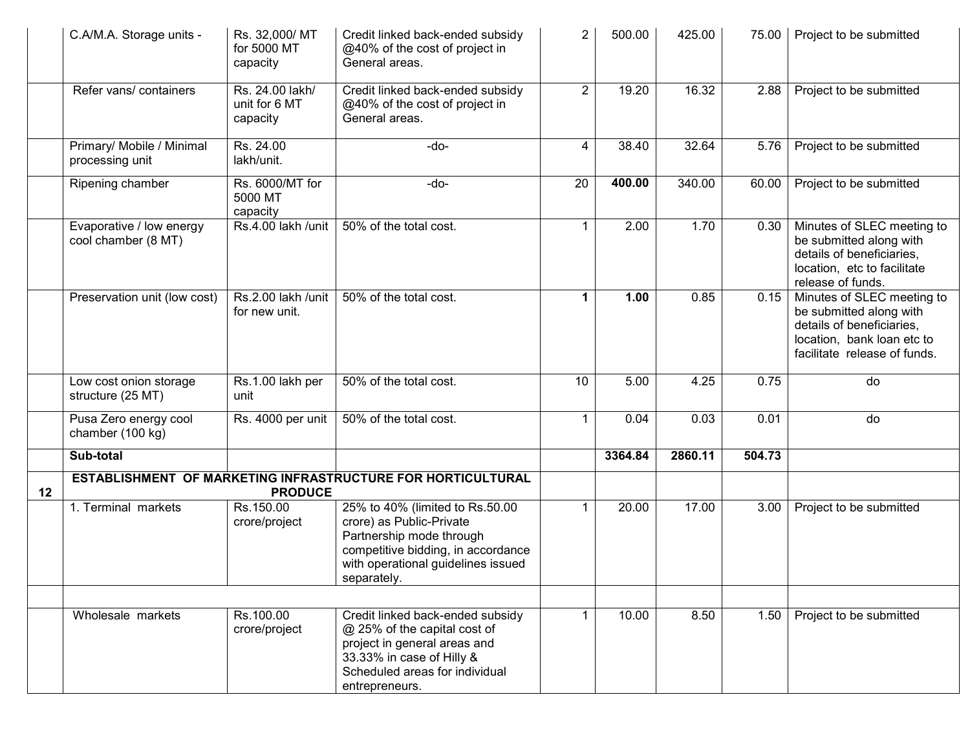|    | C.A/M.A. Storage units -                        | Rs. 32,000/ MT<br>for 5000 MT<br>capacity    | Credit linked back-ended subsidy<br>@40% of the cost of project in<br>General areas.                                                                                               | $\overline{2}$ | 500.00  | 425.00  | 75.00  | Project to be submitted                                                                                                                          |
|----|-------------------------------------------------|----------------------------------------------|------------------------------------------------------------------------------------------------------------------------------------------------------------------------------------|----------------|---------|---------|--------|--------------------------------------------------------------------------------------------------------------------------------------------------|
|    | Refer vans/ containers                          | Rs. 24.00 lakh/<br>unit for 6 MT<br>capacity | Credit linked back-ended subsidy<br>@40% of the cost of project in<br>General areas.                                                                                               | $\overline{2}$ | 19.20   | 16.32   | 2.88   | Project to be submitted                                                                                                                          |
|    | Primary/ Mobile / Minimal<br>processing unit    | Rs. 24.00<br>lakh/unit.                      | $-do-$                                                                                                                                                                             | 4              | 38.40   | 32.64   | 5.76   | Project to be submitted                                                                                                                          |
|    | Ripening chamber                                | Rs. 6000/MT for<br>5000 MT<br>capacity       | -do-                                                                                                                                                                               | 20             | 400.00  | 340.00  | 60.00  | Project to be submitted                                                                                                                          |
|    | Evaporative / low energy<br>cool chamber (8 MT) | Rs.4.00 lakh /unit                           | 50% of the total cost.                                                                                                                                                             | 1              | 2.00    | 1.70    | 0.30   | Minutes of SLEC meeting to<br>be submitted along with<br>details of beneficiaries,<br>location, etc to facilitate<br>release of funds.           |
|    | Preservation unit (low cost)                    | Rs.2.00 lakh /unit<br>for new unit.          | 50% of the total cost.                                                                                                                                                             | 1              | 1.00    | 0.85    | 0.15   | Minutes of SLEC meeting to<br>be submitted along with<br>details of beneficiaries,<br>location, bank loan etc to<br>facilitate release of funds. |
|    | Low cost onion storage<br>structure (25 MT)     | Rs.1.00 lakh per<br>unit                     | 50% of the total cost.                                                                                                                                                             | 10             | 5.00    | 4.25    | 0.75   | do                                                                                                                                               |
|    | Pusa Zero energy cool<br>chamber (100 kg)       | Rs. 4000 per unit                            | 50% of the total cost.                                                                                                                                                             | 1              | 0.04    | 0.03    | 0.01   | do                                                                                                                                               |
|    | Sub-total                                       |                                              |                                                                                                                                                                                    |                | 3364.84 | 2860.11 | 504.73 |                                                                                                                                                  |
| 12 |                                                 | <b>PRODUCE</b>                               | ESTABLISHMENT OF MARKETING INFRASTRUCTURE FOR HORTICULTURAL                                                                                                                        |                |         |         |        |                                                                                                                                                  |
|    | 1. Terminal markets                             | Rs.150.00<br>crore/project                   | 25% to 40% (limited to Rs.50.00<br>crore) as Public-Private<br>Partnership mode through<br>competitive bidding, in accordance<br>with operational guidelines issued<br>separately. | 1              | 20.00   | 17.00   | 3.00   | Project to be submitted                                                                                                                          |
|    |                                                 |                                              |                                                                                                                                                                                    |                |         |         |        |                                                                                                                                                  |
|    | Wholesale markets                               | Rs.100.00<br>crore/project                   | Credit linked back-ended subsidy<br>@ 25% of the capital cost of<br>project in general areas and<br>33.33% in case of Hilly &<br>Scheduled areas for individual<br>entrepreneurs.  |                | 10.00   | 8.50    | 1.50   | Project to be submitted                                                                                                                          |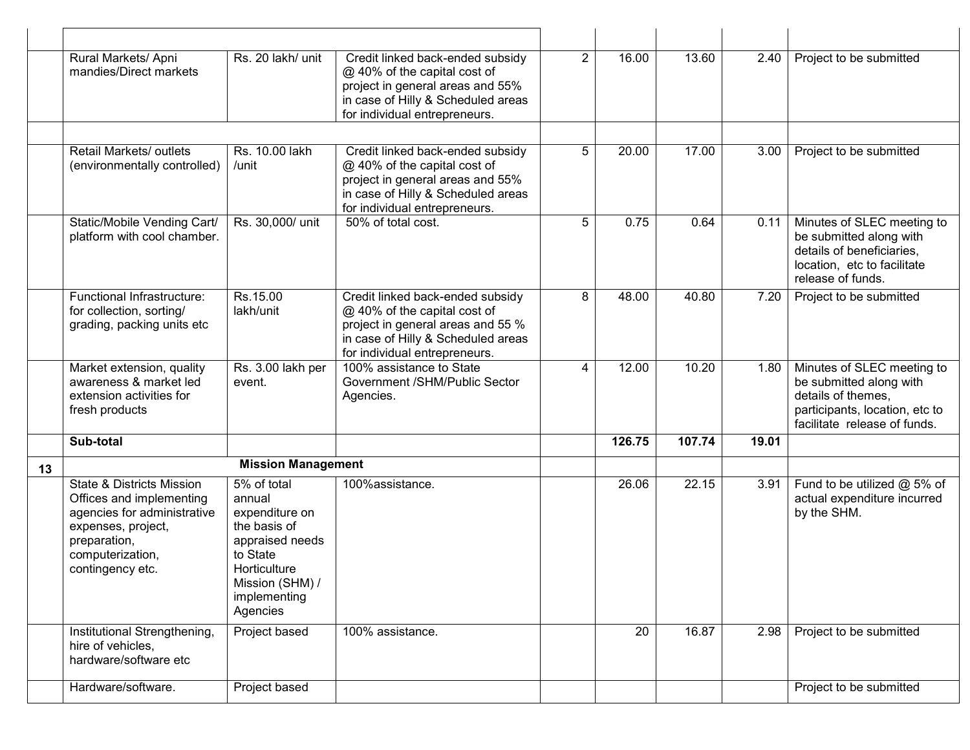|    | Rural Markets/ Apni<br>mandies/Direct markets                                                                                                                                 | Rs. 20 lakh/ unit                                                                                                                                     | Credit linked back-ended subsidy<br>@ 40% of the capital cost of<br>project in general areas and 55%<br>in case of Hilly & Scheduled areas<br>for individual entrepreneurs.  | $\overline{2}$ | 16.00  | 13.60  | 2.40  | Project to be submitted                                                                                                                       |
|----|-------------------------------------------------------------------------------------------------------------------------------------------------------------------------------|-------------------------------------------------------------------------------------------------------------------------------------------------------|------------------------------------------------------------------------------------------------------------------------------------------------------------------------------|----------------|--------|--------|-------|-----------------------------------------------------------------------------------------------------------------------------------------------|
|    |                                                                                                                                                                               |                                                                                                                                                       |                                                                                                                                                                              |                |        |        |       |                                                                                                                                               |
|    | Retail Markets/ outlets<br>(environmentally controlled)                                                                                                                       | Rs. 10.00 lakh<br>/unit                                                                                                                               | Credit linked back-ended subsidy<br>@ 40% of the capital cost of<br>project in general areas and 55%<br>in case of Hilly & Scheduled areas<br>for individual entrepreneurs.  | 5              | 20.00  | 17.00  | 3.00  | Project to be submitted                                                                                                                       |
|    | Static/Mobile Vending Cart/<br>platform with cool chamber.                                                                                                                    | Rs. 30,000/ unit                                                                                                                                      | 50% of total cost.                                                                                                                                                           | 5              | 0.75   | 0.64   | 0.11  | Minutes of SLEC meeting to<br>be submitted along with<br>details of beneficiaries,<br>location, etc to facilitate<br>release of funds.        |
|    | Functional Infrastructure:<br>for collection, sorting/<br>grading, packing units etc                                                                                          | Rs.15.00<br>lakh/unit                                                                                                                                 | Credit linked back-ended subsidy<br>@ 40% of the capital cost of<br>project in general areas and 55 %<br>in case of Hilly & Scheduled areas<br>for individual entrepreneurs. | 8              | 48.00  | 40.80  | 7.20  | Project to be submitted                                                                                                                       |
|    | Market extension, quality<br>awareness & market led<br>extension activities for<br>fresh products                                                                             | Rs. 3.00 lakh per<br>event.                                                                                                                           | 100% assistance to State<br>Government /SHM/Public Sector<br>Agencies.                                                                                                       | 4              | 12.00  | 10.20  | 1.80  | Minutes of SLEC meeting to<br>be submitted along with<br>details of themes,<br>participants, location, etc to<br>facilitate release of funds. |
|    | Sub-total                                                                                                                                                                     |                                                                                                                                                       |                                                                                                                                                                              |                | 126.75 | 107.74 | 19.01 |                                                                                                                                               |
| 13 |                                                                                                                                                                               | <b>Mission Management</b>                                                                                                                             |                                                                                                                                                                              |                |        |        |       |                                                                                                                                               |
|    | <b>State &amp; Districts Mission</b><br>Offices and implementing<br>agencies for administrative<br>expenses, project,<br>preparation,<br>computerization,<br>contingency etc. | 5% of total<br>annual<br>expenditure on<br>the basis of<br>appraised needs<br>to State<br>Horticulture<br>Mission (SHM) /<br>implementing<br>Agencies | 100%assistance.                                                                                                                                                              |                | 26.06  | 22.15  | 3.91  | Fund to be utilized @ 5% of<br>actual expenditure incurred<br>by the SHM.                                                                     |
|    | Institutional Strengthening,<br>hire of vehicles,<br>hardware/software etc                                                                                                    | Project based                                                                                                                                         | 100% assistance.                                                                                                                                                             |                | 20     | 16.87  | 2.98  | Project to be submitted                                                                                                                       |
|    | Hardware/software.                                                                                                                                                            | Project based                                                                                                                                         |                                                                                                                                                                              |                |        |        |       | Project to be submitted                                                                                                                       |